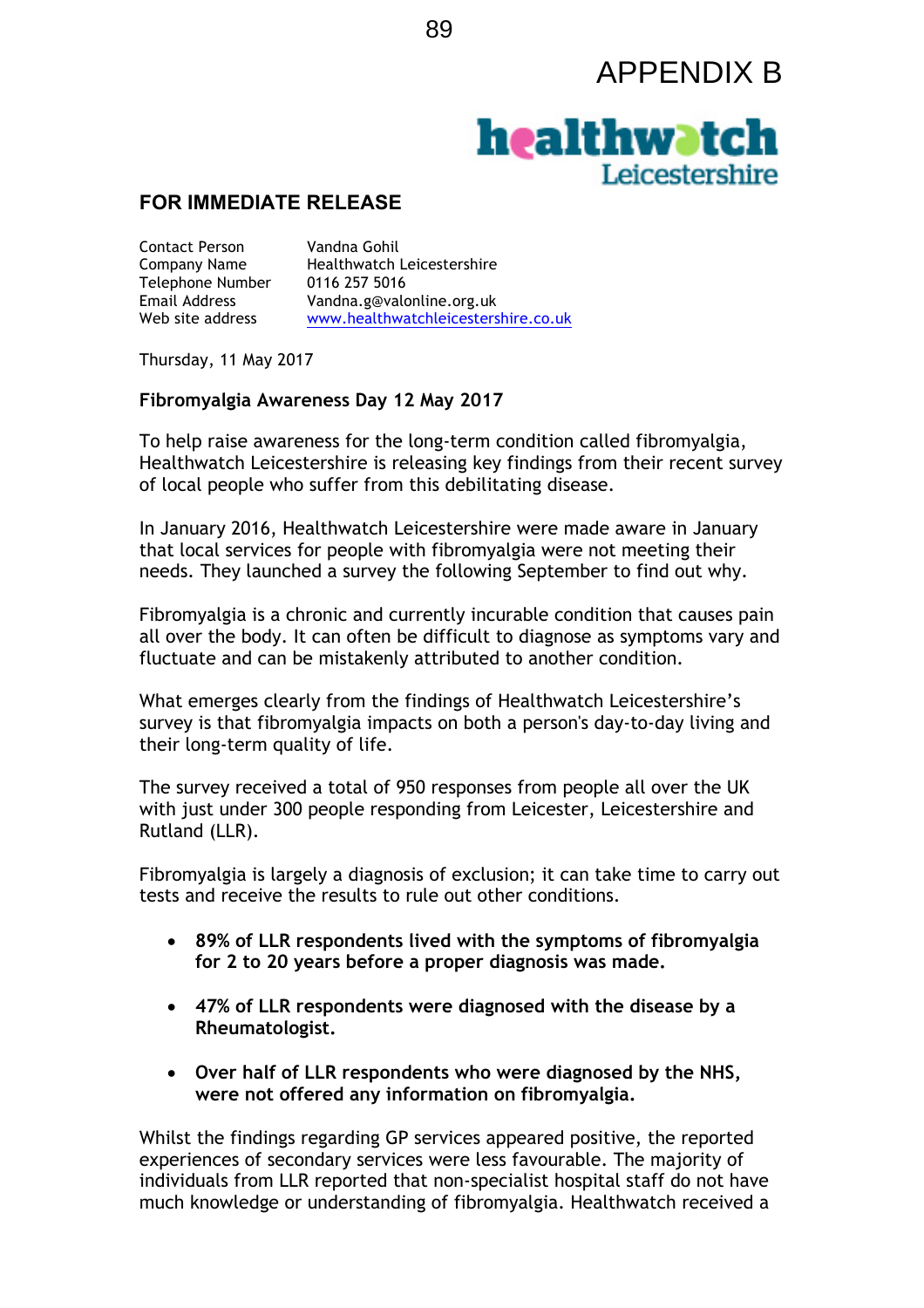## APPENDIX B



## **FOR IMMEDIATE RELEASE**

Contact Person Vandna Gohil Telephone Number 0116 257 5016

Company Name Healthwatch Leicestershire Email Address Vandna.g@valonline.org.uk Web site address www.healthwatchleicestershire.co.uk

Thursday, 11 May 2017

## **Fibromyalgia Awareness Day 12 May 2017**

To help raise awareness for the long-term condition called fibromyalgia, Healthwatch Leicestershire is releasing key findings from their recent survey of local people who suffer from this debilitating disease.

In January 2016, Healthwatch Leicestershire were made aware in January that local services for people with fibromyalgia were not meeting their needs. They launched a survey the following September to find out why.

Fibromyalgia is a chronic and currently incurable condition that causes pain all over the body. It can often be difficult to diagnose as symptoms vary and fluctuate and can be mistakenly attributed to another condition.

What emerges clearly from the findings of Healthwatch Leicestershire's survey is that fibromyalgia impacts on both a person's day-to-day living and their long-term quality of life.

The survey received a total of 950 responses from people all over the UK with just under 300 people responding from Leicester, Leicestershire and Rutland (LLR).

Fibromyalgia is largely a diagnosis of exclusion; it can take time to carry out tests and receive the results to rule out other conditions.

- **89% of LLR respondents lived with the symptoms of fibromyalgia for 2 to 20 years before a proper diagnosis was made.**
- **47% of LLR respondents were diagnosed with the disease by a Rheumatologist.**
- **Over half of LLR respondents who were diagnosed by the NHS, were not offered any information on fibromyalgia.**

Whilst the findings regarding GP services appeared positive, the reported experiences of secondary services were less favourable. The majority of individuals from LLR reported that non-specialist hospital staff do not have much knowledge or understanding of fibromyalgia. Healthwatch received a